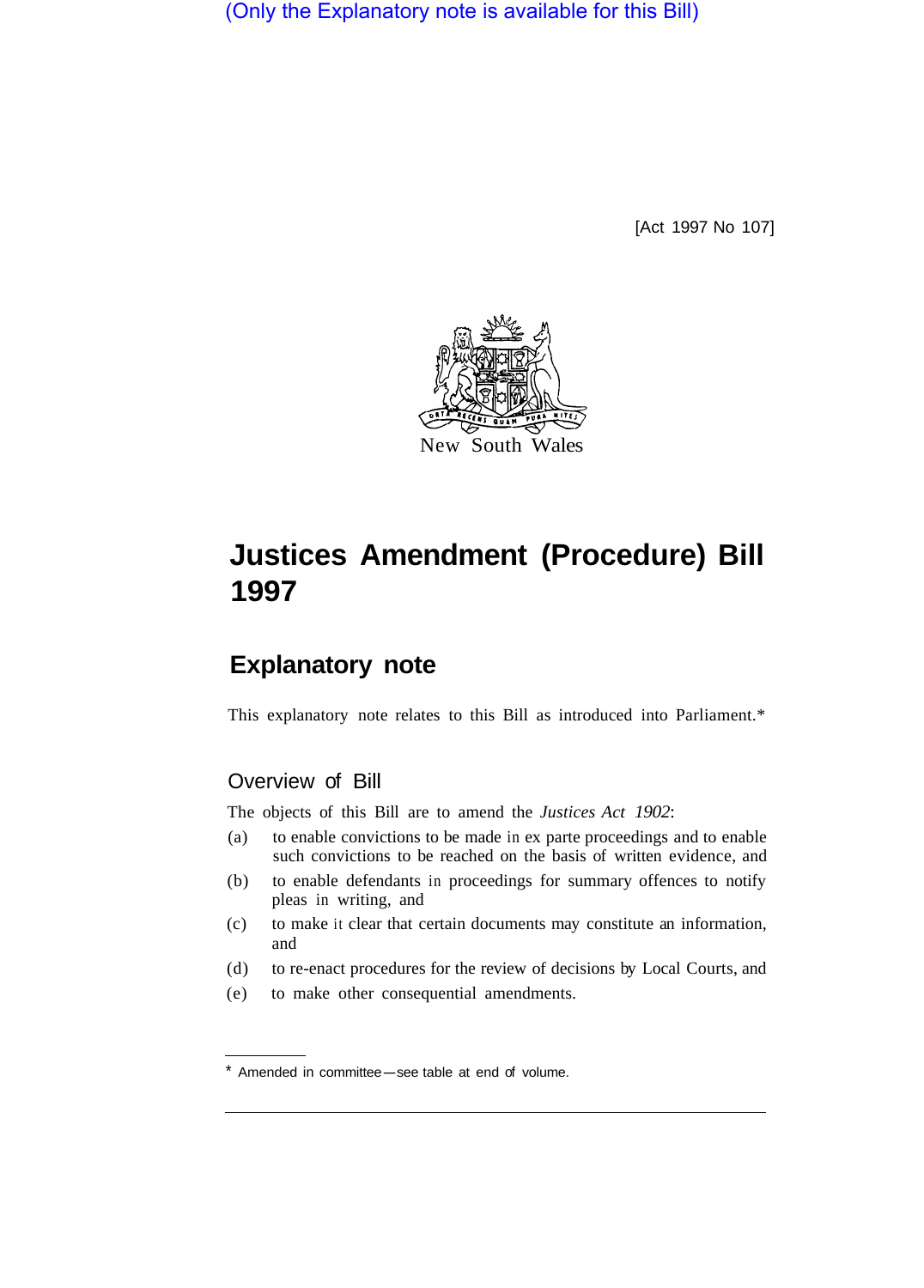(Only the Explanatory note is available for this Bill)

[Act 1997 No 107]



# **Justices Amendment (Procedure) Bill 1997**

## **Explanatory note**

This explanatory note relates to this Bill as introduced into Parliament.\*

### Overview of Bill

The objects of this Bill are to amend the *Justices Act 1902*:

- (a) to enable convictions to be made in ex parte proceedings and to enable such convictions to be reached on the basis of written evidence, and
- (b) to enable defendants in proceedings for summary offences to notify pleas in writing, and
- (c) to make it clear that certain documents may constitute an information, and
- (d) to re-enact procedures for the review of decisions by Local Courts, and
- (e) to make other consequential amendments.

<sup>\*</sup> Amended in committee-see table at end of volume.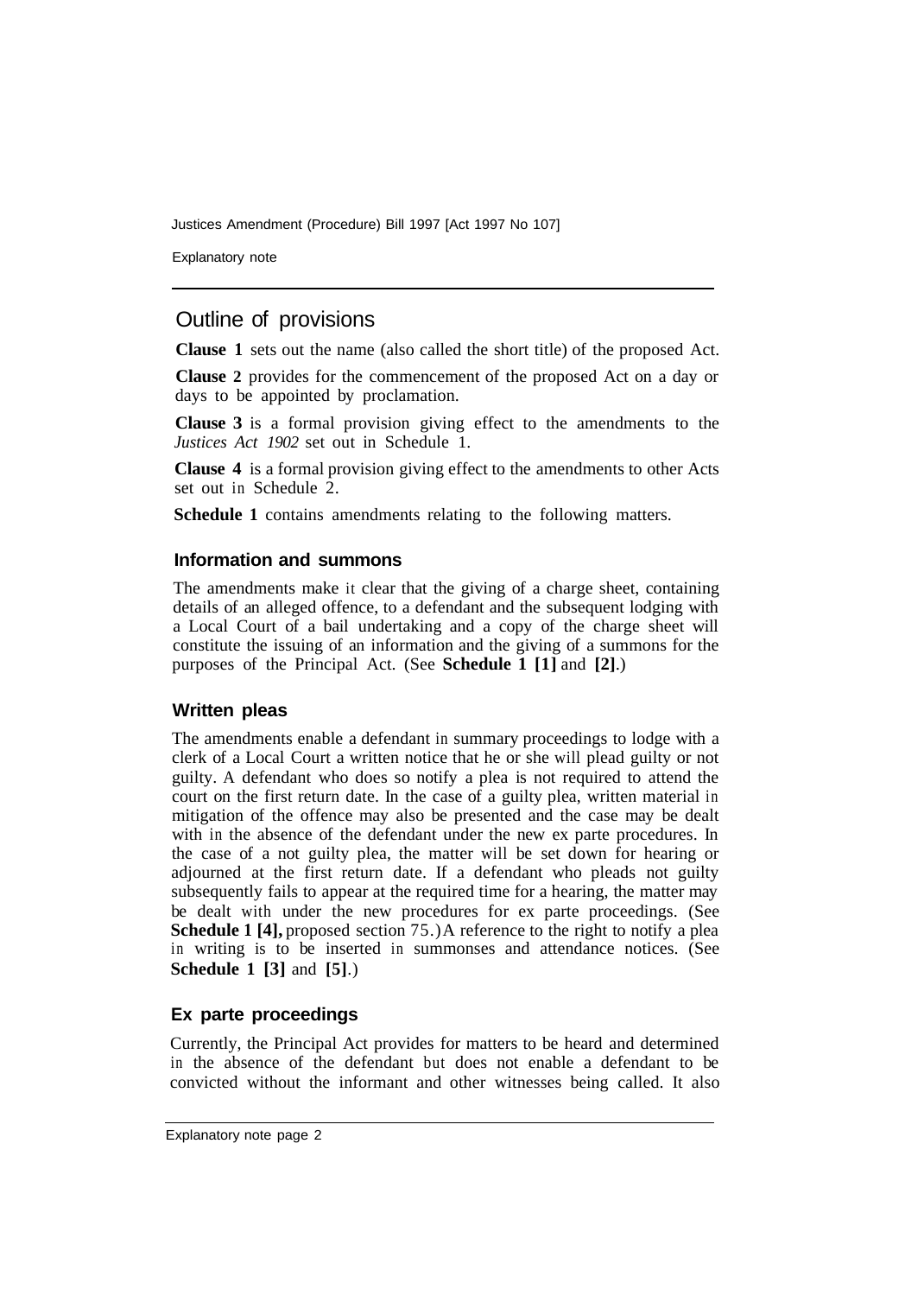Justices Amendment (Procedure) Bill 1997 [Act 1997 No 107]

Explanatory note

#### Outline of provisions

**Clause 1** sets out the name (also called the short title) of the proposed Act.

**Clause 2** provides for the commencement of the proposed Act on a day or days to be appointed by proclamation.

**Clause 3** is a formal provision giving effect to the amendments to the *Justices Act 1902* set out in Schedule 1.

**Clause 4** is a formal provision giving effect to the amendments to other Acts set out in Schedule 2.

**Schedule 1** contains amendments relating to the following matters.

#### **Information and summons**

The amendments make it clear that the giving of a charge sheet, containing details of an alleged offence, to a defendant and the subsequent lodging with a Local Court of a bail undertaking and a copy of the charge sheet will constitute the issuing of an information and the giving of a summons for the purposes of the Principal Act. (See **Schedule 1 [1]** and **[2]**.)

#### **Written pleas**

The amendments enable a defendant in summary proceedings to lodge with a clerk of a Local Court a written notice that he or she will plead guilty or not guilty. A defendant who does so notify a plea is not required to attend the court on the first return date. In the case of a guilty plea, written material in mitigation of the offence may also be presented and the case may be dealt with in the absence of the defendant under the new ex parte procedures. In the case of a not guilty plea, the matter will be set down for hearing or adjourned at the first return date. If a defendant who pleads not guilty subsequently fails to appear at the required time for a hearing, the matter may be dealt with under the new procedures for ex parte proceedings. (See **Schedule 1 [4],** proposed section 75.) A reference to the right to notify a plea in writing is to be inserted in summonses and attendance notices. (See **Schedule 1 [3]** and **[5]**.)

#### **Ex parte proceedings**

Currently, the Principal Act provides for matters to be heard and determined in the absence of the defendant but does not enable a defendant to be convicted without the informant and other witnesses being called. It also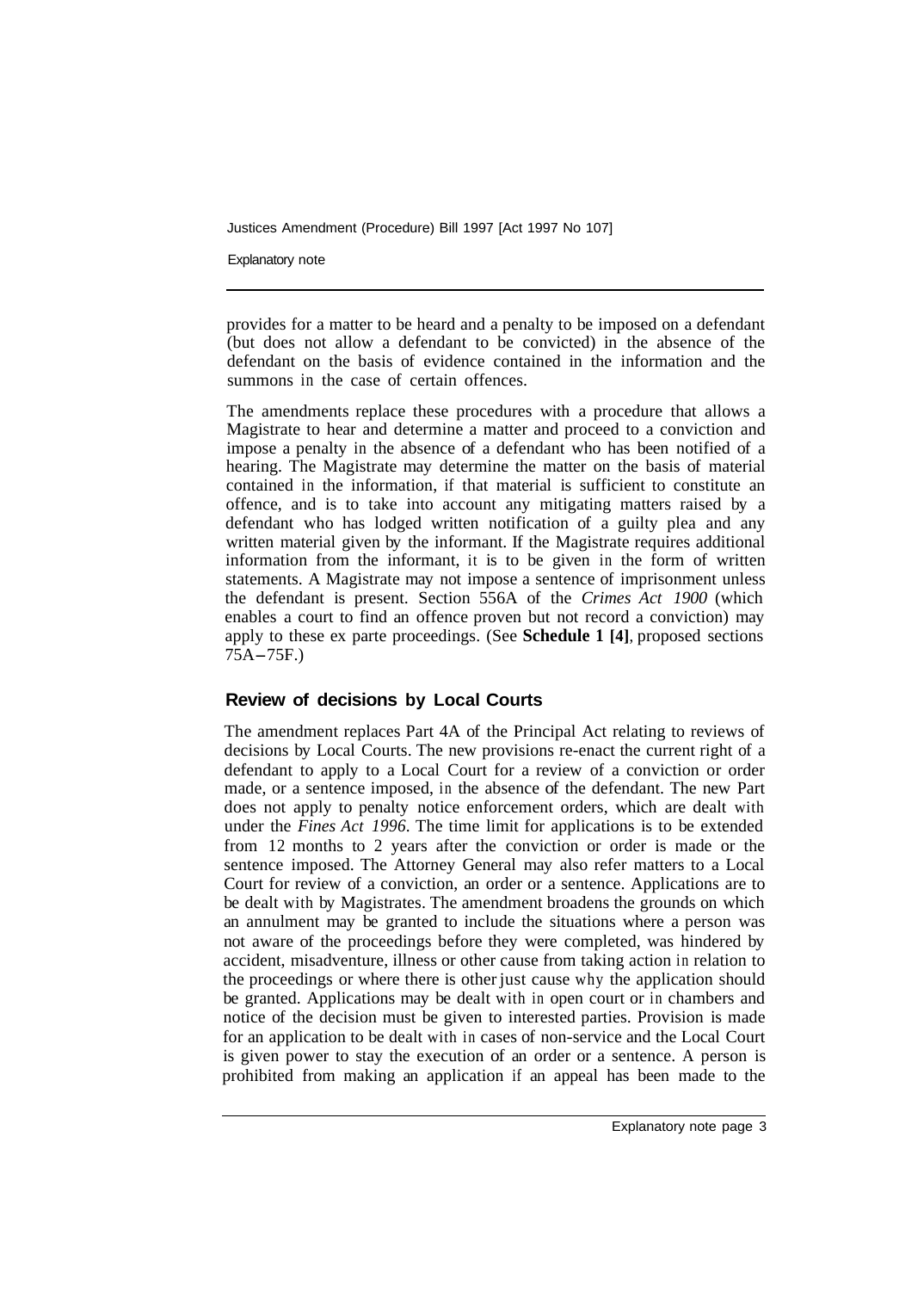Justices Amendment (Procedure) Bill 1997 [Act 1997 No 107]

Explanatory note

provides for a matter to be heard and a penalty to be imposed on a defendant (but does not allow a defendant to be convicted) in the absence of the defendant on the basis of evidence contained in the information and the summons in the case of certain offences.

The amendments replace these procedures with a procedure that allows a Magistrate to hear and determine a matter and proceed to a conviction and impose a penalty in the absence of a defendant who has been notified of a hearing. The Magistrate may determine the matter on the basis of material contained in the information, if that material is sufficient to constitute an offence, and is to take into account any mitigating matters raised by a defendant who has lodged written notification of a guilty plea and any written material given by the informant. If the Magistrate requires additional information from the informant, it is to be given in the form of written statements. A Magistrate may not impose a sentence of imprisonment unless the defendant is present. Section 556A of the *Crimes Act 1900* (which enables a court to find an offence proven but not record a conviction) may apply to these ex parte proceedings. (See **Schedule 1 [4]**, proposed sections 75A-75F.)

#### **Review of decisions by Local Courts**

The amendment replaces Part 4A of the Principal Act relating to reviews of decisions by Local Courts. The new provisions re-enact the current right of a defendant to apply to a Local Court for a review of a conviction or order made, or a sentence imposed, in the absence of the defendant. The new Part does not apply to penalty notice enforcement orders, which are dealt with under the *Fines Act 1996.* The time limit for applications is to be extended from 12 months to 2 years after the conviction or order is made or the sentence imposed. The Attorney General may also refer matters to a Local Court for review of a conviction, an order or a sentence. Applications are to be dealt with by Magistrates. The amendment broadens the grounds on which an annulment may be granted to include the situations where a person was not aware of the proceedings before they were completed, was hindered by accident, misadventure, illness or other cause from taking action in relation to the proceedings or where there is other just cause why the application should be granted. Applications may be dealt with in open court or in chambers and notice of the decision must be given to interested parties. Provision is made for an application to be dealt with in cases of non-service and the Local Court is given power to stay the execution of an order or a sentence. A person is prohibited from making an application if an appeal has been made to the